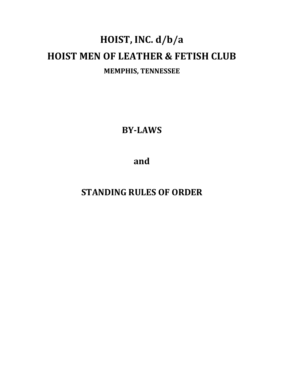# **HOIST, INC. d/b/a HOIST MEN OF LEATHER & FETISH CLUB MEMPHIS, TENNESSEE**

**BY-LAWS** 

**and** 

# **STANDING RULES OF ORDER**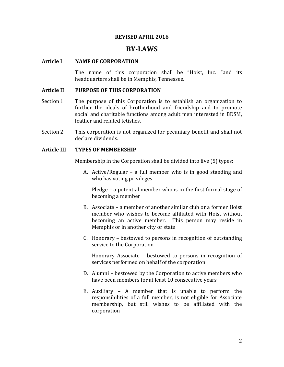#### **REVISED APRIL 2016**

### **BY-LAWS**

#### **Article I NAME OF CORPORATION**

The name of this corporation shall be "Hoist, Inc. "and its headquarters shall be in Memphis, Tennessee.

#### **Article II PURPOSE OF THIS CORPORATION**

- Section 1 The purpose of this Corporation is to establish an organization to further the ideals of brotherhood and friendship and to promote social and charitable functions among adult men interested in BDSM, leather and related fetishes.
- Section 2 This corporation is not organized for pecuniary benefit and shall not declare dividends.

#### **Article III TYPES OF MEMBERSHIP**

Membership in the Corporation shall be divided into five (5) types:

A. Active/Regular – a full member who is in good standing and who has voting privileges

Pledge – a potential member who is in the first formal stage of becoming a member

- B. Associate a member of another similar club or a former Hoist member who wishes to become affiliated with Hoist without becoming an active member. This person may reside in Memphis or in another city or state
- C. Honorary bestowed to persons in recognition of outstanding service to the Corporation

Honorary Associate – bestowed to persons in recognition of services performed on behalf of the corporation

- D. Alumni bestowed by the Corporation to active members who have been members for at least 10 consecutive years
- E. Auxiliary A member that is unable to perform the responsibilities of a full member, is not eligible for Associate membership, but still wishes to be affiliated with the corporation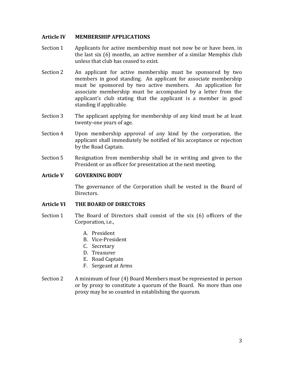#### **Article IV MEMBERSHIP APPLICATIONS**

- Section 1 Applicants for active membership must not now be or have been, in the last six (6) months, an active member of a similar Memphis club unless that club has ceased to exist.
- Section 2 An applicant for active membership must be sponsored by two members in good standing. An applicant for associate membership must be sponsored by two active members. An application for associate membership must be accompanied by a letter from the applicant's club stating that the applicant is a member in good standing if applicable.
- Section 3 The applicant applying for membership of any kind must be at least twenty-one years of age.
- Section 4 Upon membership approval of any kind by the corporation, the applicant shall immediately be notified of his acceptance or rejection by the Road Captain.
- Section 5 Resignation from membership shall be in writing and given to the President or an officer for presentation at the next meeting.

#### **Article V GOVERNING BODY**

The governance of the Corporation shall be vested in the Board of Directors.

#### **Article VI THE BOARD OF DIRECTORS**

- Section 1 The Board of Directors shall consist of the six (6) officers of the Corporation, i.e.,
	- A. President
	- B. Vice-President
	- C. Secretary
	- D. Treasurer
	- E. Road Captain
	- F. Sergeant at Arms
- Section 2 A minimum of four (4) Board Members must be represented in person or by proxy to constitute a quorum of the Board. No more than one proxy may be so counted in establishing the quorum.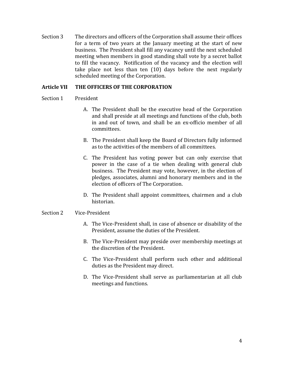Section 3 The directors and officers of the Corporation shall assume their offices for a term of two years at the January meeting at the start of new business. The President shall fill any vacancy until the next scheduled meeting when members in good standing shall vote by a secret ballot to fill the vacancy. Notification of the vacancy and the election will take place not less than ten (10) days before the next regularly scheduled meeting of the Corporation.

#### **Article VII THE OFFICERS OF THE CORPORATION**

#### Section 1 President

- A. The President shall be the executive head of the Corporation and shall preside at all meetings and functions of the club, both in and out of town, and shall be an ex-officio member of all committees.
- B. The President shall keep the Board of Directors fully informed as to the activities of the members of all committees.
- C. The President has voting power but can only exercise that power in the case of a tie when dealing with general club business. The President may vote, however, in the election of pledges, associates, alumni and honorary members and in the election of officers of The Corporation.
- D. The President shall appoint committees, chairmen and a club historian.

#### Section 2 Vice-President

- A. The Vice-President shall, in case of absence or disability of the President, assume the duties of the President.
- B. The Vice-President may preside over membership meetings at the discretion of the President.
- C. The Vice-President shall perform such other and additional duties as the President may direct.
- D. The Vice-President shall serve as parliamentarian at all club meetings and functions.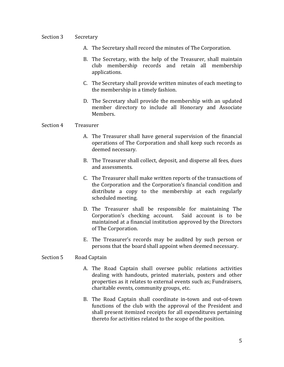#### Section 3 Secretary

- A. The Secretary shall record the minutes of The Corporation.
- B. The Secretary, with the help of the Treasurer, shall maintain club membership records and retain all membership applications.
- C. The Secretary shall provide written minutes of each meeting to the membership in a timely fashion.
- D. The Secretary shall provide the membership with an updated member directory to include all Honorary and Associate Members.

#### Section 4 Treasurer

- A. The Treasurer shall have general supervision of the financial operations of The Corporation and shall keep such records as deemed necessary.
- B. The Treasurer shall collect, deposit, and disperse all fees, dues and assessments.
- C. The Treasurer shall make written reports of the transactions of the Corporation and the Corporation's financial condition and distribute a copy to the membership at each regularly scheduled meeting.
- D. The Treasurer shall be responsible for maintaining The Corporation's checking account. Said account is to be maintained at a financial institution approved by the Directors of The Corporation.
- E. The Treasurer's records may be audited by such person or persons that the board shall appoint when deemed necessary.

#### Section 5 Road Captain

- A. The Road Captain shall oversee public relations activities dealing with handouts, printed materials, posters and other properties as it relates to external events such as; Fundraisers, charitable events, community groups, etc.
- B. The Road Captain shall coordinate in-town and out-of-town functions of the club with the approval of the President and shall present itemized receipts for all expenditures pertaining thereto for activities related to the scope of the position.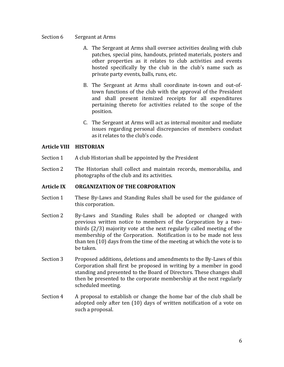#### Section 6 Sergeant at Arms

- A. The Sergeant at Arms shall oversee activities dealing with club patches, special pins, handouts, printed materials, posters and other properties as it relates to club activities and events hosted specifically by the club in the club's name such as private party events, balls, runs, etc.
- B. The Sergeant at Arms shall coordinate in-town and out-oftown functions of the club with the approval of the President and shall present itemized receipts for all expenditures pertaining thereto for activities related to the scope of the position.
- C. The Sergeant at Arms will act as internal monitor and mediate issues regarding personal discrepancies of members conduct as it relates to the club's code.

#### **Article VIII HISTORIAN**

- Section 1 A club Historian shall be appointed by the President
- Section 2 The Historian shall collect and maintain records, memorabilia, and photographs of the club and its activities.

#### **Article IX ORGANIZATION OF THE CORPORATION**

- Section 1 These By-Laws and Standing Rules shall be used for the guidance of this corporation.
- Section 2 By-Laws and Standing Rules shall be adopted or changed with previous written notice to members of the Corporation by a twothirds (2/3) majority vote at the next regularly called meeting of the membership of the Corporation. Notification is to be made not less than ten (10) days from the time of the meeting at which the vote is to be taken.
- Section 3 Proposed additions, deletions and amendments to the By-Laws of this Corporation shall first be proposed in writing by a member in good standing and presented to the Board of Directors. These changes shall then be presented to the corporate membership at the next regularly scheduled meeting.
- Section 4 A proposal to establish or change the home bar of the club shall be adopted only after ten (10) days of written notification of a vote on such a proposal.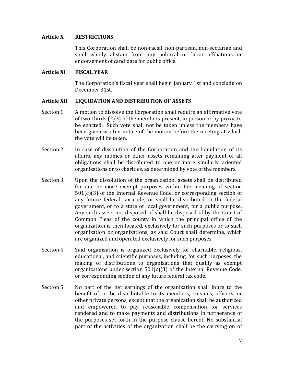#### **Article X RESTRICTIONS**

This Corporation shall be non-racial, non-partisan, non-sectarian and shall wholly abstain from any political or labor affiliations or endorsement of candidate for public office.

#### **Article XI FISCAL YEAR**

The Corporation's fiscal year shall begin January 1st and conclude on December 31st.

#### **Article XII LIQUIDATION AND DISTRIBUTION OF ASSETS**

- Section 1 A motion to dissolve the Corporation shall require an affirmative vote of two-thirds (2/3) of the members present, in person or by proxy, to be enacted. Such vote shall not be taken unless the members have been given written notice of the motion before the meeting at which the vote will be taken.
- Section 2 In case of dissolution of the Corporation and the liquidation of its affairs, any monies or other assets remaining after payment of all obligations shall be distributed to one or more similarly oriented organizations or to charities, as determined by vote of the members.
- Section 3 Upon the dissolution of the organization, assets shall be distributed for one or more exempt purposes within the meaning of section 501(c)(3) of the Internal Revenue Code, or corresponding section of any future federal tax code, or shall be distributed to the federal government, or to a state or local government, for a public purpose. Any such assets not disposed of shall be disposed of by the Court of Common Pleas of the county in which the principal office of the organization is then located, exclusively for such purposes or to such organization or organizations, as said Court shall determine, which are organized and operated exclusively for such purposes.
- Section 4 Said organization is organized exclusively for charitable, religious, educational, and scientific purposes, including, for such purposes, the making of distributions to organizations that qualify as exempt organizations under section  $501(c)(3)$  of the Internal Revenue Code, or corresponding section of any future federal tax code.
- Section 5 No part of the net earnings of the organization shall inure to the benefit of, or be distributable to its members, trustees, officers, or other private persons, except that the organization shall be authorized and empowered to pay reasonable compensation for services rendered and to make payments and distributions in furtherance of the purposes set forth in the purpose clause hereof. No substantial part of the activities of the organization shall be the carrying on of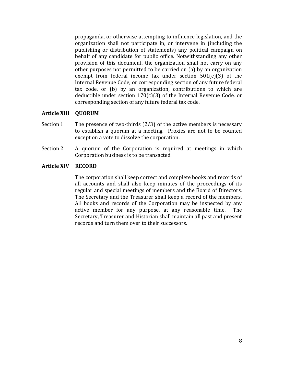propaganda, or otherwise attempting to influence legislation, and the organization shall not participate in, or intervene in (including the publishing or distribution of statements) any political campaign on behalf of any candidate for public office. Notwithstanding any other provision of this document, the organization shall not carry on any other purposes not permitted to be carried on (a) by an organization exempt from federal income tax under section  $501(c)(3)$  of the Internal Revenue Code, or corresponding section of any future federal tax code, or (b) by an organization, contributions to which are deductible under section 170(c)(3) of the Internal Revenue Code, or corresponding section of any future federal tax code.

#### **Article XIII QUORUM**

- Section 1 The presence of two-thirds  $(2/3)$  of the active members is necessary to establish a quorum at a meeting. Proxies are not to be counted except on a vote to dissolve the corporation.
- Section 2 A quorum of the Corporation is required at meetings in which Corporation business is to be transacted.

#### **Article XIV RECORD**

The corporation shall keep correct and complete books and records of all accounts and shall also keep minutes of the proceedings of its regular and special meetings of members and the Board of Directors. The Secretary and the Treasurer shall keep a record of the members. All books and records of the Corporation may be inspected by any active member for any purpose, at any reasonable time. The Secretary, Treasurer and Historian shall maintain all past and present records and turn them over to their successors.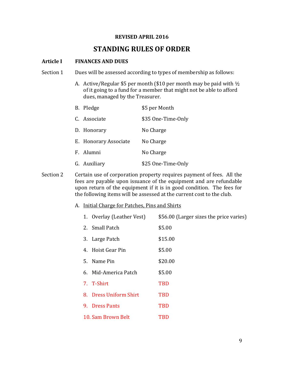#### **REVISED APRIL 2016**

## **STANDING RULES OF ORDER**

#### **Article I FINANCES AND DUES**

- Section 1 Dues will be assessed according to types of membership as follows:
	- A. Active/Regular \$5 per month (\$10 per month may be paid with  $\frac{1}{2}$ of it going to a fund for a member that might not be able to afford dues, managed by the Treasurer.
	- B. Pledge \$5 per Month
	- C. Associate  $$35$  One-Time-Only
	- D. Honorary No Charge
	- E. Honorary Associate No Charge
	- F. Alumni No Charge
	- G. Auxiliary \$25 One-Time-Only
- Section 2 Certain use of corporation property requires payment of fees. All the fees are payable upon issuance of the equipment and are refundable upon return of the equipment if it is in good condition. The fees for the following items will be assessed at the current cost to the club.
	- A. Initial Charge for Patches, Pins and Shirts

|  | 1. Overlay (Leather Vest) | \$56.00 (Larger sizes the price varies) |
|--|---------------------------|-----------------------------------------|
|  | 2. Small Patch            | \$5.00                                  |
|  | 3. Large Patch            | \$15.00                                 |
|  | 4. Hoist Gear Pin         | \$5.00                                  |
|  | 5. Name Pin               | \$20.00                                 |
|  | 6. Mid-America Patch      | \$5.00                                  |
|  | 7. T-Shirt                | <b>TBD</b>                              |
|  | 8. Dress Uniform Shirt    | <b>TBD</b>                              |
|  | 9. Dress Pants            | <b>TBD</b>                              |
|  | 10. Sam Brown Belt        | TBD                                     |
|  |                           |                                         |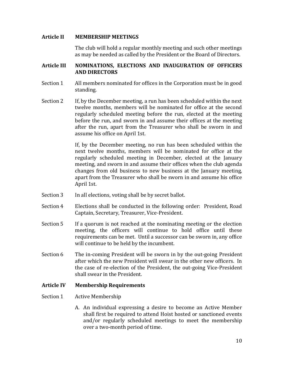#### **Article II MEMBERSHIP MEETINGS**

The club will hold a regular monthly meeting and such other meetings as may be needed as called by the President or the Board of Directors.

#### **Article III NOMINATIONS, ELECTIONS AND INAUGURATION OF OFFICERS AND DIRECTORS**

- Section 1 All members nominated for offices in the Corporation must be in good standing.
- Section 2 If, by the December meeting, a run has been scheduled within the next twelve months, members will be nominated for office at the second regularly scheduled meeting before the run, elected at the meeting before the run, and sworn in and assume their offices at the meeting after the run, apart from the Treasurer who shall be sworn in and assume his office on April 1st.

If, by the December meeting, no run has been scheduled within the next twelve months, members will be nominated for office at the regularly scheduled meeting in December, elected at the January meeting, and sworn in and assume their offices when the club agenda changes from old business to new business at the January meeting, apart from the Treasurer who shall be sworn in and assume his office April 1st.

- Section 3 In all elections, voting shall be by secret ballot.
- Section 4 Elections shall be conducted in the following order: President, Road Captain, Secretary, Treasurer, Vice-President.
- Section 5 If a quorum is not reached at the nominating meeting or the election meeting, the officers will continue to hold office until these requirements can be met. Until a successor can be sworn in, any office will continue to be held by the incumbent.
- Section 6 The in-coming President will be sworn in by the out-going President after which the new President will swear in the other new officers. In the case of re-election of the President, the out-going Vice-President shall swear in the President.

#### **Article IV Membership Requirements**

#### Section 1 Active Membership

A. An individual expressing a desire to become an Active Member shall first be required to attend Hoist hosted or sanctioned events and/or regularly scheduled meetings to meet the membership over a two-month period of time.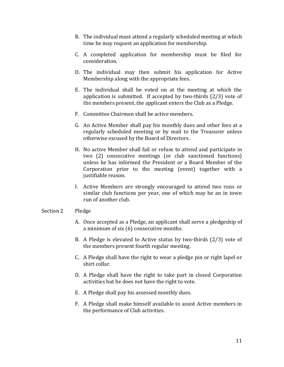- B. The individual must attend a regularly scheduled meeting at which time he may request an application for membership.
- C. A completed application for membership must be filed for consideration.
- D. The individual may then submit his application for Active Membership along with the appropriate fees.
- E. The individual shall be voted on at the meeting at which the application is submitted. If accepted by two-thirds (2/3) vote of the members present, the applicant enters the Club as a Pledge.
- F. Committee Chairmen shall be active members.
- G. An Active Member shall pay his monthly dues and other fees at a regularly scheduled meeting or by mail to the Treasurer unless otherwise excused by the Board of Directors.
- H. No active Member shall fail or refuse to attend and participate in two (2) consecutive meetings (or club sanctioned functions) unless he has informed the President or a Board Member of the Corporation prior to the meeting (event) together with a justifiable reason.
- I. Active Members are strongly encouraged to attend two runs or similar club functions per year, one of which may be an in town run of another club.

#### Section 2 Pledge

- A. Once accepted as a Pledge, an applicant shall serve a pledgeship of a minimum of six (6) consecutive months.
- B. A Pledge is elevated to Active status by two-thirds (2/3) vote of the members present fourth regular meeting.
- C. A Pledge shall have the right to wear a pledge pin or right lapel or shirt collar.
- D. A Pledge shall have the right to take part in closed Corporation activities but he does not have the right to vote.
- E. A Pledge shall pay his assessed monthly dues.
- F. A Pledge shall make himself available to assist Active members in the performance of Club activities.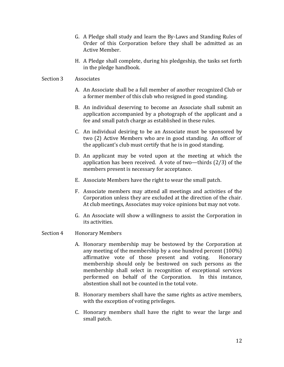- G. A Pledge shall study and learn the By-Laws and Standing Rules of Order of this Corporation before they shall be admitted as an Active Member.
- H. A Pledge shall complete, during his pledgeship, the tasks set forth in the pledge handbook.

#### Section 3 Associates

- A. An Associate shall be a full member of another recognized Club or a former member of this club who resigned in good standing.
- B. An individual deserving to become an Associate shall submit an application accompanied by a photograph of the applicant and a fee and small patch charge as established in these rules.
- C. An individual desiring to be an Associate must be sponsored by two (2) Active Members who are in good standing. An officer of the applicant's club must certify that he is in good standing.
- D. An applicant may be voted upon at the meeting at which the application has been received. A vote of two—thirds (2/3) of the members present is necessary for acceptance.
- E. Associate Members have the right to wear the small patch.
- F. Associate members may attend all meetings and activities of the Corporation unless they are excluded at the direction of the chair. At club meetings, Associates may voice opinions but may not vote.
- G. An Associate will show a willingness to assist the Corporation in its activities.

#### Section 4 Honorary Members

- A. Honorary membership may be bestowed by the Corporation at any meeting of the membership by a one hundred percent (100%) affirmative vote of those present and voting. Honorary membership should only be bestowed on such persons as the membership shall select in recognition of exceptional services performed on behalf of the Corporation. In this instance, abstention shall not be counted in the total vote.
- B. Honorary members shall have the same rights as active members, with the exception of voting privileges.
- C. Honorary members shall have the right to wear the large and small patch.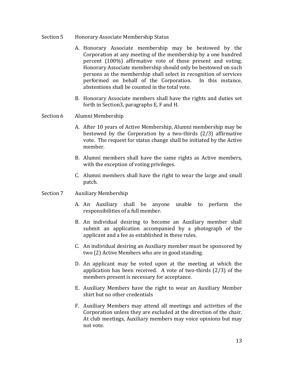#### Section 5 Honorary Associate Membership Status

- A. Honorary Associate membership may be bestowed by the Corporation at any meeting of the membership by a one hundred percent (100%) affirmative vote of those present and voting. Honorary Associate membership should only be bestowed on such persons as the membership shall select in recognition of services performed on behalf of the Corporation. In this instance, abstentions shall be counted in the total vote.
- B. Honorary Associate members shall have the rights and duties set forth in Section3, paragraphs E, F and H.

#### Section 6 Alumni Membership

- A. After 10 years of Active Membership, Alumni membership may be bestowed by the Corporation by a two-thirds (2/3) affirmative vote. The request for status change shall be initiated by the Active member.
- B. Alumni members shall have the same rights as Active members, with the exception of voting privileges.
- C. Alumni members shall have the right to wear the large and small patch.
- Section 7 Auxiliary Membership
	- A. An Auxiliary shall be anyone unable to perform the responsibilities of a full member.
	- B. An individual desiring to become an Auxiliary member shall submit an application accompanied by a photograph of the applicant and a fee as established in these rules.
	- C. An individual desiring an Auxiliary member must be sponsored by two (2) Active Members who are in good standing.
	- D. An applicant may be voted upon at the meeting at which the application has been received. A vote of two-thirds (2/3) of the members present is necessary for acceptance.
	- E. Auxiliary Members have the right to wear an Auxiliary Member shirt but no other credentials
	- F. Auxiliary Members may attend all meetings and activities of the Corporation unless they are excluded at the direction of the chair. At club meetings, Auxiliary members may voice opinions but may not vote.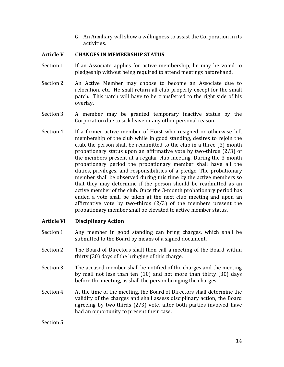G. An Auxiliary will show a willingness to assist the Corporation in its activities.

#### **Article V CHANGES IN MEMBERSHIP STATUS**

- Section 1 If an Associate applies for active membership, he may be voted to pledgeship without being required to attend meetings beforehand.
- Section 2 An Active Member may choose to become an Associate due to relocation, etc. He shall return all club property except for the small patch. This patch will have to be transferred to the right side of his overlay.
- Section 3 A member may be granted temporary inactive status by the Corporation due to sick leave or any other personal reason.
- Section 4 If a former active member of Hoist who resigned or otherwise left membership of the club while in good standing, desires to rejoin the club, the person shall be readmitted to the club in a three (3) month probationary status upon an affirmative vote by two-thirds (2/3) of the members present at a regular club meeting. During the 3-month probationary period the probationary member shall have all the duties, privileges, and responsibilities of a pledge. The probationary member shall be observed during this time by the active members so that they may determine if the person should be readmitted as an active member of the club. Once the 3-month probationary period has ended a vote shall be taken at the next club meeting and upon an affirmative vote by two-thirds (2/3) of the members present the probationary member shall be elevated to active member status.

#### **Article VI Disciplinary Action**

- Section 1 Any member in good standing can bring charges, which shall be submitted to the Board by means of a signed document.
- Section 2 The Board of Directors shall then call a meeting of the Board within thirty (30) days of the bringing of this charge.
- Section 3 The accused member shall be notified of the charges and the meeting by mail not less than ten (10) and not more than thirty (30) days before the meeting, as shall the person bringing the charges.
- Section 4 At the time of the meeting, the Board of Directors shall determine the validity of the charges and shall assess disciplinary action, the Board agreeing by two-thirds (2/3) vote, after both parties involved have had an opportunity to present their case.

Section 5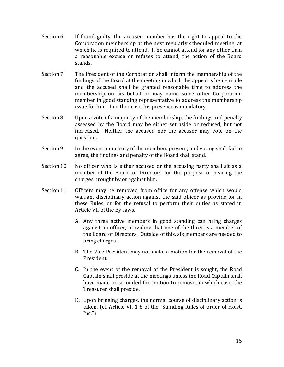- Section 6 If found guilty, the accused member has the right to appeal to the Corporation membership at the next regularly scheduled meeting, at which he is required to attend. If he cannot attend for any other than a reasonable excuse or refuses to attend, the action of the Board stands.
- Section 7 The President of the Corporation shall inform the membership of the findings of the Board at the meeting in which the appeal is being made and the accused shall be granted reasonable time to address the membership on his behalf or may name some other Corporation member in good standing representative to address the membership issue for him. In either case, his presence is mandatory.
- Section 8 Upon a vote of a majority of the membership, the findings and penalty assessed by the Board may be either set aside or reduced, but not increased. Neither the accused nor the accuser may vote on the question.
- Section 9 In the event a majority of the members present, and voting shall fail to agree, the findings and penalty of the Board shall stand.
- Section 10 No officer who is either accused or the accusing party shall sit as a member of the Board of Directors for the purpose of hearing the charges brought by or against him.
- Section 11 Officers may be removed from office for any offense which would warrant disciplinary action against the said officer as provide for in these Rules, or for the refusal to perform their duties as stated in Article VII of the By-laws.
	- A. Any three active members in good standing can bring charges against an officer, providing that one of the three is a member of the Board of Directors. Outside of this, six members are needed to bring charges.
	- B. The Vice-President may not make a motion for the removal of the President.
	- C. In the event of the removal of the President is sought, the Road Captain shall preside at the meetings unless the Road Captain shall have made or seconded the motion to remove, in which case, the Treasurer shall preside.
	- D. Upon bringing charges, the normal course of disciplinary action is taken. (cf. Article VI, 1-8 of the "Standing Rules of order of Hoist,  $Inc."$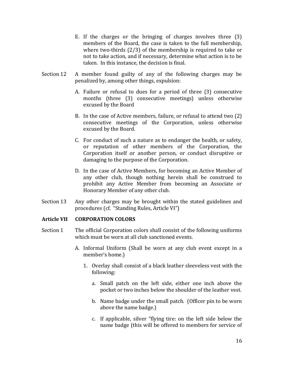- E. If the charges or the bringing of charges involves three (3) members of the Board, the case is taken to the full membership, where two-thirds (2/3) of the membership is required to take or not to take action, and if necessary, determine what action is to be taken. In this instance, the decision is final.
- Section 12 A member found guilty of any of the following charges may be penalized by, among other things, expulsion:
	- A. Failure or refusal to dues for a period of three (3) consecutive months (three (3) consecutive meetings) unless otherwise excused by the Board
	- B. In the case of Active members, failure, or refusal to attend two (2) consecutive meetings of the Corporation, unless otherwise excused by the Board.
	- C. For conduct of such a nature as to endanger the health, or safety, or reputation of other members of the Corporation, the Corporation itself or another person, or conduct disruptive or damaging to the purpose of the Corporation.
	- D. In the case of Active Members, for becoming an Active Member of any other club, though nothing herein shall be construed to prohibit any Active Member from becoming an Associate or Honorary Member of any other club.
- Section 13 Any other charges may be brought within the stated guidelines and procedures (cf. "Standing Rules, Article VI")

#### **Article VII CORPORATION COLORS**

- Section 1 The official Corporation colors shall consist of the following uniforms which must be worn at all club sanctioned events.
	- A. Informal Uniform (Shall be worn at any club event except in a member's home.)
		- 1. Overlay shall consist of a black leather sleeveless vest with the following:
			- a. Small patch on the left side, either one inch above the pocket or two inches below the shoulder of the leather vest.
			- b. Name badge under the small patch. (Officer pin to be worn above the name badge.)
			- c. If applicable, silver "flying tire: on the left side below the name badge (this will be offered to members for service of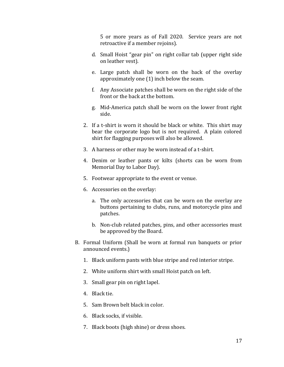5 or more years as of Fall 2020. Service years are not retroactive if a member rejoins).

- d. Small Hoist "gear pin" on right collar tab (upper right side on leather vest).
- e. Large patch shall be worn on the back of the overlay approximately one (1) inch below the seam.
- f. Any Associate patches shall be worn on the right side of the front or the back at the bottom.
- g. Mid-America patch shall be worn on the lower front right side.
- 2. If a t-shirt is worn it should be black or white. This shirt may bear the corporate logo but is not required. A plain colored shirt for flagging purposes will also be allowed.
- 3. A harness or other may be worn instead of a t-shirt.
- 4. Denim or leather pants or kilts (shorts can be worn from Memorial Day to Labor Day).
- 5. Footwear appropriate to the event or venue.
- 6. Accessories on the overlay:
	- a. The only accessories that can be worn on the overlay are buttons pertaining to clubs, runs, and motorcycle pins and patches.
	- b. Non-club related patches, pins, and other accessories must be approved by the Board.
- B. Formal Uniform (Shall be worn at formal run banquets or prior announced events.)
	- 1. Black uniform pants with blue stripe and red interior stripe.
	- 2. White uniform shirt with small Hoist patch on left.
	- 3. Small gear pin on right lapel.
	- 4. Black tie.
	- 5. Sam Brown belt black in color.
	- 6. Black socks, if visible.
	- 7. Black boots (high shine) or dress shoes.